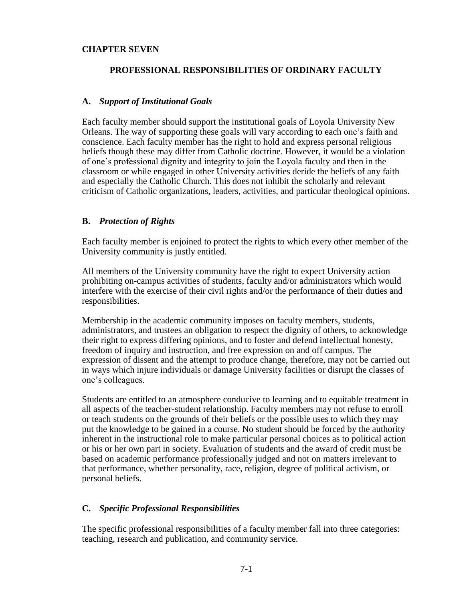### **CHAPTER SEVEN**

#### **PROFESSIONAL RESPONSIBILITIES OF ORDINARY FACULTY**

#### **A.** *Support of Institutional Goals*

Each faculty member should support the institutional goals of Loyola University New Orleans. The way of supporting these goals will vary according to each one's faith and conscience. Each faculty member has the right to hold and express personal religious beliefs though these may differ from Catholic doctrine. However, it would be a violation of one's professional dignity and integrity to join the Loyola faculty and then in the classroom or while engaged in other University activities deride the beliefs of any faith and especially the Catholic Church. This does not inhibit the scholarly and relevant criticism of Catholic organizations, leaders, activities, and particular theological opinions.

### **B.** *Protection of Rights*

Each faculty member is enjoined to protect the rights to which every other member of the University community is justly entitled.

All members of the University community have the right to expect University action prohibiting on-campus activities of students, faculty and/or administrators which would interfere with the exercise of their civil rights and/or the performance of their duties and responsibilities.

Membership in the academic community imposes on faculty members, students, administrators, and trustees an obligation to respect the dignity of others, to acknowledge their right to express differing opinions, and to foster and defend intellectual honesty, freedom of inquiry and instruction, and free expression on and off campus. The expression of dissent and the attempt to produce change, therefore, may not be carried out in ways which injure individuals or damage University facilities or disrupt the classes of one's colleagues.

Students are entitled to an atmosphere conducive to learning and to equitable treatment in all aspects of the teacher-student relationship. Faculty members may not refuse to enroll or teach students on the grounds of their beliefs or the possible uses to which they may put the knowledge to be gained in a course. No student should be forced by the authority inherent in the instructional role to make particular personal choices as to political action or his or her own part in society. Evaluation of students and the award of credit must be based on academic performance professionally judged and not on matters irrelevant to that performance, whether personality, race, religion, degree of political activism, or personal beliefs.

### **C.** *Specific Professional Responsibilities*

The specific professional responsibilities of a faculty member fall into three categories: teaching, research and publication, and community service.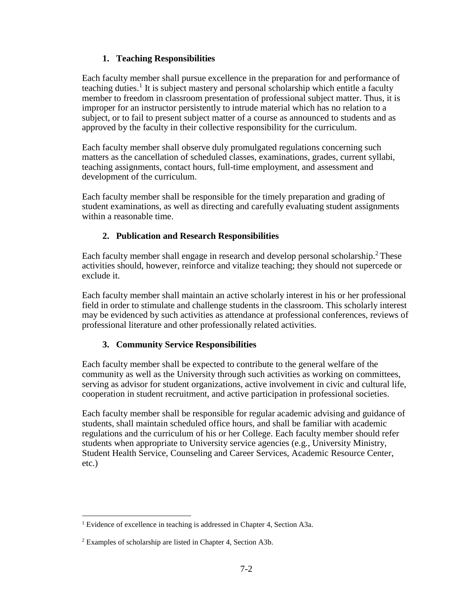## **1. Teaching Responsibilities**

Each faculty member shall pursue excellence in the preparation for and performance of teaching duties.<sup>1</sup> It is subject mastery and personal scholarship which entitle a faculty member to freedom in classroom presentation of professional subject matter. Thus, it is improper for an instructor persistently to intrude material which has no relation to a subject, or to fail to present subject matter of a course as announced to students and as approved by the faculty in their collective responsibility for the curriculum.

Each faculty member shall observe duly promulgated regulations concerning such matters as the cancellation of scheduled classes, examinations, grades, current syllabi, teaching assignments, contact hours, full-time employment, and assessment and development of the curriculum.

Each faculty member shall be responsible for the timely preparation and grading of student examinations, as well as directing and carefully evaluating student assignments within a reasonable time.

## **2. Publication and Research Responsibilities**

Each faculty member shall engage in research and develop personal scholarship.<sup>2</sup> These activities should, however, reinforce and vitalize teaching; they should not supercede or exclude it.

Each faculty member shall maintain an active scholarly interest in his or her professional field in order to stimulate and challenge students in the classroom. This scholarly interest may be evidenced by such activities as attendance at professional conferences, reviews of professional literature and other professionally related activities.

# **3. Community Service Responsibilities**

Each faculty member shall be expected to contribute to the general welfare of the community as well as the University through such activities as working on committees, serving as advisor for student organizations, active involvement in civic and cultural life, cooperation in student recruitment, and active participation in professional societies.

Each faculty member shall be responsible for regular academic advising and guidance of students, shall maintain scheduled office hours, and shall be familiar with academic regulations and the curriculum of his or her College. Each faculty member should refer students when appropriate to University service agencies (e.g., University Ministry, Student Health Service, Counseling and Career Services, Academic Resource Center, etc.)

 $\overline{a}$ 

<sup>&</sup>lt;sup>1</sup> Evidence of excellence in teaching is addressed in Chapter 4, Section A3a.

<sup>2</sup> Examples of scholarship are listed in Chapter 4, Section A3b.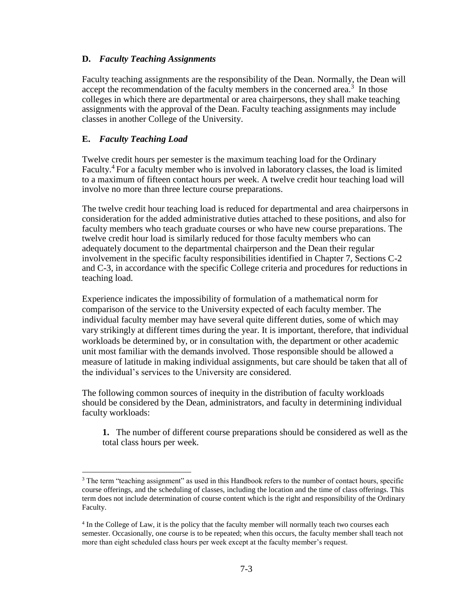### **D.** *Faculty Teaching Assignments*

Faculty teaching assignments are the responsibility of the Dean. Normally, the Dean will accept the recommendation of the faculty members in the concerned area.<sup>3</sup> In those colleges in which there are departmental or area chairpersons, they shall make teaching assignments with the approval of the Dean. Faculty teaching assignments may include classes in another College of the University.

### **E.** *Faculty Teaching Load*

 $\overline{a}$ 

Twelve credit hours per semester is the maximum teaching load for the Ordinary Faculty.<sup>4</sup> For a faculty member who is involved in laboratory classes, the load is limited to a maximum of fifteen contact hours per week. A twelve credit hour teaching load will involve no more than three lecture course preparations.

The twelve credit hour teaching load is reduced for departmental and area chairpersons in consideration for the added administrative duties attached to these positions, and also for faculty members who teach graduate courses or who have new course preparations. The twelve credit hour load is similarly reduced for those faculty members who can adequately document to the departmental chairperson and the Dean their regular involvement in the specific faculty responsibilities identified in Chapter 7, Sections C-2 and C-3, in accordance with the specific College criteria and procedures for reductions in teaching load.

Experience indicates the impossibility of formulation of a mathematical norm for comparison of the service to the University expected of each faculty member. The individual faculty member may have several quite different duties, some of which may vary strikingly at different times during the year. It is important, therefore, that individual workloads be determined by, or in consultation with, the department or other academic unit most familiar with the demands involved. Those responsible should be allowed a measure of latitude in making individual assignments, but care should be taken that all of the individual's services to the University are considered.

The following common sources of inequity in the distribution of faculty workloads should be considered by the Dean, administrators, and faculty in determining individual faculty workloads:

**1.** The number of different course preparations should be considered as well as the total class hours per week.

<sup>&</sup>lt;sup>3</sup> The term "teaching assignment" as used in this Handbook refers to the number of contact hours, specific course offerings, and the scheduling of classes, including the location and the time of class offerings. This term does not include determination of course content which is the right and responsibility of the Ordinary Faculty.

<sup>4</sup> In the College of Law, it is the policy that the faculty member will normally teach two courses each semester. Occasionally, one course is to be repeated; when this occurs, the faculty member shall teach not more than eight scheduled class hours per week except at the faculty member's request.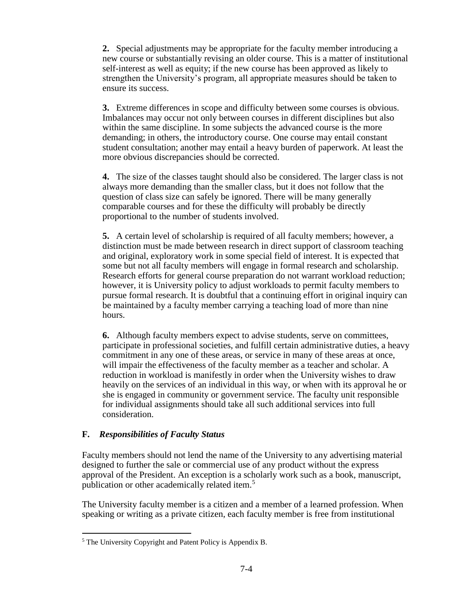**2.** Special adjustments may be appropriate for the faculty member introducing a new course or substantially revising an older course. This is a matter of institutional self-interest as well as equity; if the new course has been approved as likely to strengthen the University's program, all appropriate measures should be taken to ensure its success.

**3.** Extreme differences in scope and difficulty between some courses is obvious. Imbalances may occur not only between courses in different disciplines but also within the same discipline. In some subjects the advanced course is the more demanding; in others, the introductory course. One course may entail constant student consultation; another may entail a heavy burden of paperwork. At least the more obvious discrepancies should be corrected.

**4.** The size of the classes taught should also be considered. The larger class is not always more demanding than the smaller class, but it does not follow that the question of class size can safely be ignored. There will be many generally comparable courses and for these the difficulty will probably be directly proportional to the number of students involved.

**5.** A certain level of scholarship is required of all faculty members; however, a distinction must be made between research in direct support of classroom teaching and original, exploratory work in some special field of interest. It is expected that some but not all faculty members will engage in formal research and scholarship. Research efforts for general course preparation do not warrant workload reduction; however, it is University policy to adjust workloads to permit faculty members to pursue formal research. It is doubtful that a continuing effort in original inquiry can be maintained by a faculty member carrying a teaching load of more than nine hours.

**6.** Although faculty members expect to advise students, serve on committees, participate in professional societies, and fulfill certain administrative duties, a heavy commitment in any one of these areas, or service in many of these areas at once, will impair the effectiveness of the faculty member as a teacher and scholar. A reduction in workload is manifestly in order when the University wishes to draw heavily on the services of an individual in this way, or when with its approval he or she is engaged in community or government service. The faculty unit responsible for individual assignments should take all such additional services into full consideration.

### **F.** *Responsibilities of Faculty Status*

 $\overline{a}$ 

Faculty members should not lend the name of the University to any advertising material designed to further the sale or commercial use of any product without the express approval of the President. An exception is a scholarly work such as a book, manuscript, publication or other academically related item.<sup>5</sup>

The University faculty member is a citizen and a member of a learned profession. When speaking or writing as a private citizen, each faculty member is free from institutional

<sup>5</sup> The University Copyright and Patent Policy is Appendix B.